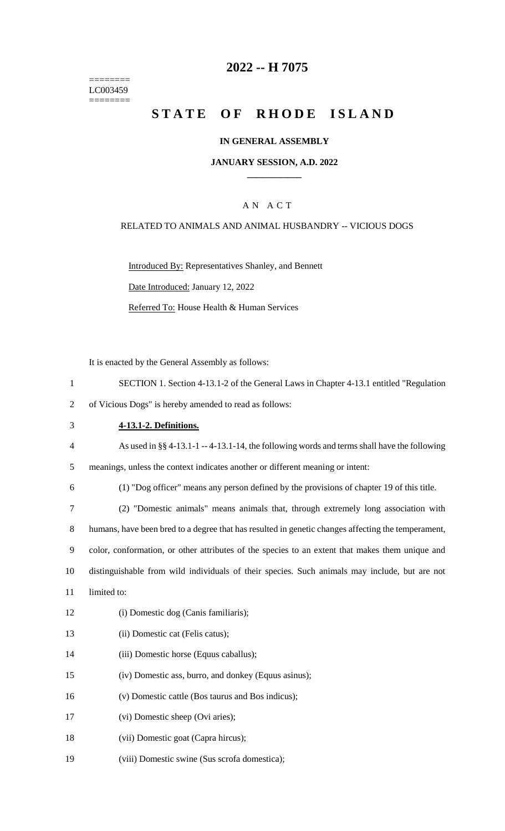======== LC003459  $=$ 

# **2022 -- H 7075**

# STATE OF RHODE ISLAND

## **IN GENERAL ASSEMBLY**

#### **JANUARY SESSION, A.D. 2022 \_\_\_\_\_\_\_\_\_\_\_\_**

## A N A C T

## RELATED TO ANIMALS AND ANIMAL HUSBANDRY -- VICIOUS DOGS

Introduced By: Representatives Shanley, and Bennett Date Introduced: January 12, 2022 Referred To: House Health & Human Services

It is enacted by the General Assembly as follows:

| $\mathbf{1}$   | SECTION 1. Section 4-13.1-2 of the General Laws in Chapter 4-13.1 entitled "Regulation             |
|----------------|----------------------------------------------------------------------------------------------------|
| $\overline{2}$ | of Vicious Dogs" is hereby amended to read as follows:                                             |
| 3              | 4-13.1-2. Definitions.                                                                             |
| $\overline{4}$ | As used in $\S$ 4-13.1-1 -- 4-13.1-14, the following words and terms shall have the following      |
| 5              | meanings, unless the context indicates another or different meaning or intent:                     |
| 6              | (1) "Dog officer" means any person defined by the provisions of chapter 19 of this title.          |
| $\tau$         | (2) "Domestic animals" means animals that, through extremely long association with                 |
| 8              | humans, have been bred to a degree that has resulted in genetic changes affecting the temperament, |
| 9              | color, conformation, or other attributes of the species to an extent that makes them unique and    |
| 10             | distinguishable from wild individuals of their species. Such animals may include, but are not      |
| 11             | limited to:                                                                                        |
| 12             | (i) Domestic dog (Canis familiaris);                                                               |
| 13             | (ii) Domestic cat (Felis catus);                                                                   |
| 14             | (iii) Domestic horse (Equus caballus);                                                             |
| 15             | (iv) Domestic ass, burro, and donkey (Equus asinus);                                               |
| 16             | (v) Domestic cattle (Bos taurus and Bos indicus);                                                  |
| 17             | (vi) Domestic sheep (Ovi aries);                                                                   |
| 18             | (vii) Domestic goat (Capra hircus);                                                                |
| 19             | (viii) Domestic swine (Sus scrofa domestica);                                                      |
|                |                                                                                                    |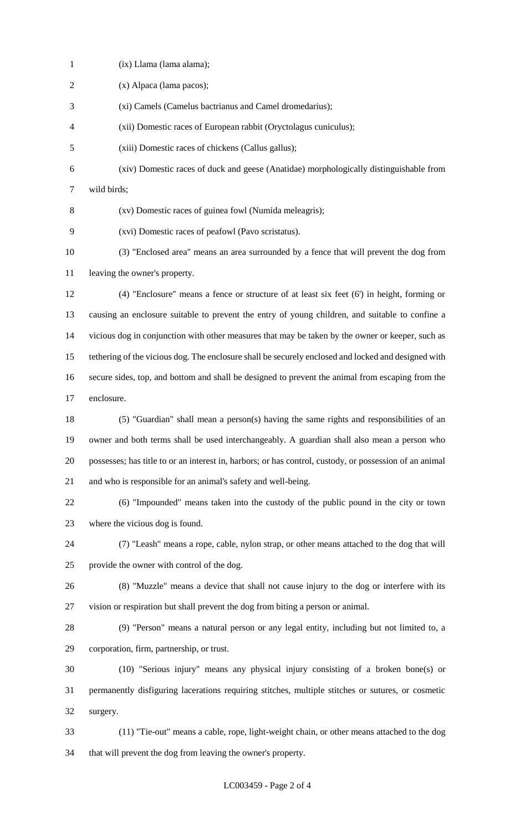(ix) Llama (lama alama); (x) Alpaca (lama pacos); (xi) Camels (Camelus bactrianus and Camel dromedarius); (xii) Domestic races of European rabbit (Oryctolagus cuniculus); (xiii) Domestic races of chickens (Callus gallus); (xiv) Domestic races of duck and geese (Anatidae) morphologically distinguishable from wild birds; (xv) Domestic races of guinea fowl (Numida meleagris); (xvi) Domestic races of peafowl (Pavo scristatus). (3) "Enclosed area" means an area surrounded by a fence that will prevent the dog from leaving the owner's property. (4) "Enclosure" means a fence or structure of at least six feet (6') in height, forming or causing an enclosure suitable to prevent the entry of young children, and suitable to confine a vicious dog in conjunction with other measures that may be taken by the owner or keeper, such as tethering of the vicious dog. The enclosure shall be securely enclosed and locked and designed with secure sides, top, and bottom and shall be designed to prevent the animal from escaping from the enclosure. (5) "Guardian" shall mean a person(s) having the same rights and responsibilities of an owner and both terms shall be used interchangeably. A guardian shall also mean a person who possesses; has title to or an interest in, harbors; or has control, custody, or possession of an animal and who is responsible for an animal's safety and well-being. (6) "Impounded" means taken into the custody of the public pound in the city or town where the vicious dog is found. (7) "Leash" means a rope, cable, nylon strap, or other means attached to the dog that will provide the owner with control of the dog. (8) "Muzzle" means a device that shall not cause injury to the dog or interfere with its vision or respiration but shall prevent the dog from biting a person or animal. (9) "Person" means a natural person or any legal entity, including but not limited to, a corporation, firm, partnership, or trust. (10) "Serious injury" means any physical injury consisting of a broken bone(s) or permanently disfiguring lacerations requiring stitches, multiple stitches or sutures, or cosmetic surgery. (11) "Tie-out" means a cable, rope, light-weight chain, or other means attached to the dog that will prevent the dog from leaving the owner's property.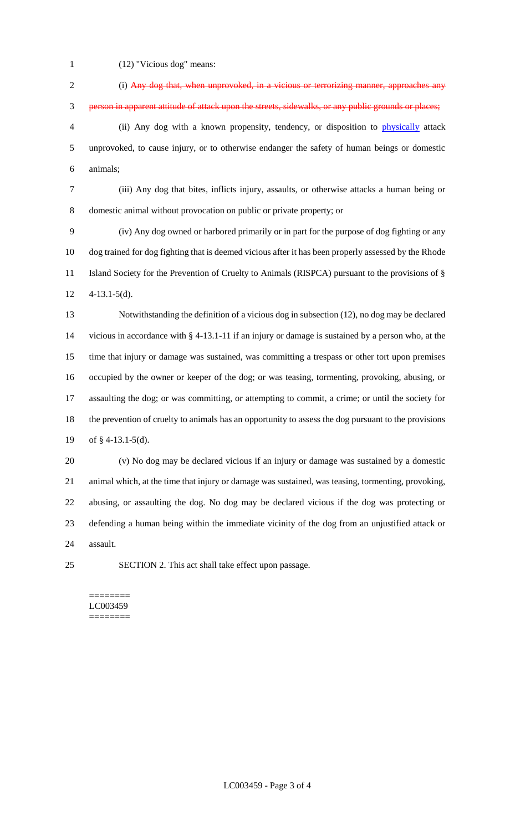(12) "Vicious dog" means:

 (i) Any dog that, when unprovoked, in a vicious or terrorizing manner, approaches any person in apparent attitude of attack upon the streets, sidewalks, or any public grounds or places; (ii) Any dog with a known propensity, tendency, or disposition to physically attack unprovoked, to cause injury, or to otherwise endanger the safety of human beings or domestic animals; (iii) Any dog that bites, inflicts injury, assaults, or otherwise attacks a human being or domestic animal without provocation on public or private property; or (iv) Any dog owned or harbored primarily or in part for the purpose of dog fighting or any dog trained for dog fighting that is deemed vicious after it has been properly assessed by the Rhode Island Society for the Prevention of Cruelty to Animals (RISPCA) pursuant to the provisions of § 4-13.1-5(d). Notwithstanding the definition of a vicious dog in subsection (12), no dog may be declared vicious in accordance with § 4-13.1-11 if an injury or damage is sustained by a person who, at the time that injury or damage was sustained, was committing a trespass or other tort upon premises occupied by the owner or keeper of the dog; or was teasing, tormenting, provoking, abusing, or assaulting the dog; or was committing, or attempting to commit, a crime; or until the society for the prevention of cruelty to animals has an opportunity to assess the dog pursuant to the provisions of § 4-13.1-5(d). (v) No dog may be declared vicious if an injury or damage was sustained by a domestic animal which, at the time that injury or damage was sustained, was teasing, tormenting, provoking, abusing, or assaulting the dog. No dog may be declared vicious if the dog was protecting or defending a human being within the immediate vicinity of the dog from an unjustified attack or assault.

SECTION 2. This act shall take effect upon passage.

======== LC003459 ========